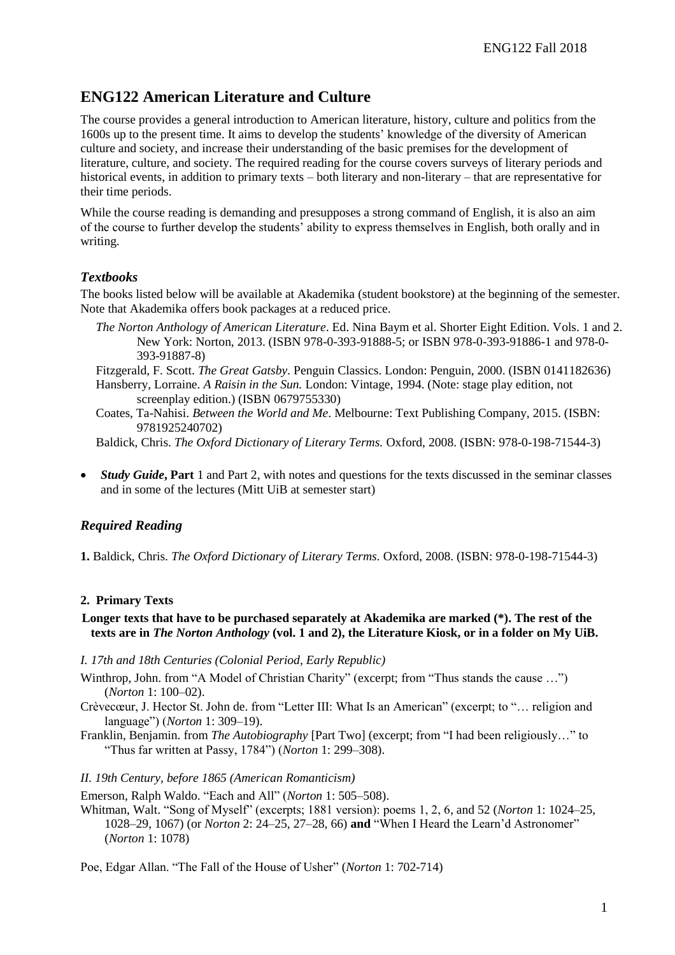# **ENG122 American Literature and Culture**

The course provides a general introduction to American literature, history, culture and politics from the 1600s up to the present time. It aims to develop the students' knowledge of the diversity of American culture and society, and increase their understanding of the basic premises for the development of literature, culture, and society. The required reading for the course covers surveys of literary periods and historical events, in addition to primary texts – both literary and non-literary – that are representative for their time periods.

While the course reading is demanding and presupposes a strong command of English, it is also an aim of the course to further develop the students' ability to express themselves in English, both orally and in writing.

# *Textbooks*

The books listed below will be available at Akademika (student bookstore) at the beginning of the semester. Note that Akademika offers book packages at a reduced price.

*The Norton Anthology of American Literature*. Ed. Nina Baym et al. Shorter Eight Edition. Vols. 1 and 2. New York: Norton, 2013. (ISBN 978-0-393-91888-5; or ISBN 978-0-393-91886-1 and 978-0- 393-91887-8)

Fitzgerald, F. Scott. *The Great Gatsby.* Penguin Classics. London: Penguin, 2000. (ISBN 0141182636) Hansberry, Lorraine. *A Raisin in the Sun.* London: Vintage, 1994. (Note: stage play edition, not screenplay edition.) (ISBN 0679755330)

Coates, Ta-Nahisi. *Between the World and Me*. Melbourne: Text Publishing Company, 2015. (ISBN: 9781925240702)

Baldick, Chris. *The Oxford Dictionary of Literary Terms.* Oxford, 2008. (ISBN: 978-0-198-71544-3)

 *Study Guide***, Part** 1 and Part 2, with notes and questions for the texts discussed in the seminar classes and in some of the lectures (Mitt UiB at semester start)

# *Required Reading*

**1.** Baldick, Chris. *The Oxford Dictionary of Literary Terms.* Oxford, 2008. (ISBN: 978-0-198-71544-3)

#### **2. Primary Texts**

### **Longer texts that have to be purchased separately at Akademika are marked (\*). The rest of the texts are in** *The Norton Anthology* **(vol. 1 and 2), the Literature Kiosk, or in a folder on My UiB.**

*I. 17th and 18th Centuries (Colonial Period, Early Republic)*

- Winthrop, John. from "A Model of Christian Charity" (excerpt; from "Thus stands the cause ...") (*Norton* 1: 100–02).
- Crèvecœur, J. Hector St. John de. from "Letter III: What Is an American" (excerpt; to "… religion and language") (*Norton* 1: 309–19).
- Franklin, Benjamin. from *The Autobiography* [Part Two] (excerpt; from "I had been religiously…" to "Thus far written at Passy, 1784") (*Norton* 1: 299–308).

#### *II. 19th Century, before 1865 (American Romanticism)*

Emerson, Ralph Waldo. "Each and All" (*Norton* 1: 505–508).

Whitman, Walt. "Song of Myself" (excerpts; 1881 version): poems 1, 2, 6, and 52 (*Norton* 1: 1024–25, 1028–29, 1067) (or *Norton* 2: 24–25, 27–28, 66) **and** "When I Heard the Learn'd Astronomer" (*Norton* 1: 1078)

Poe, Edgar Allan. "The Fall of the House of Usher" (*Norton* 1: 702-714)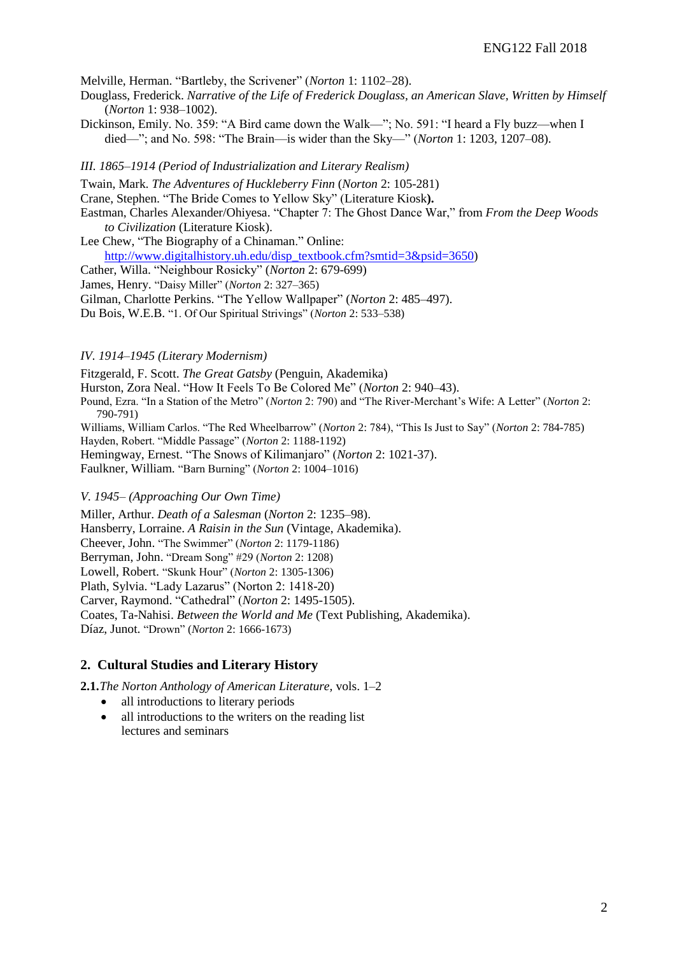Melville, Herman. "Bartleby, the Scrivener" (*Norton* 1: 1102–28).

- Douglass, Frederick. *Narrative of the Life of Frederick Douglass, an American Slave, Written by Himself* (*Norton* 1: 938–1002).
- Dickinson, Emily. No. 359: "A Bird came down the Walk—"; No. 591: "I heard a Fly buzz—when I died—"; and No. 598: "The Brain—is wider than the Sky—" (*Norton* 1: 1203, 1207–08).

*III. 1865–1914 (Period of Industrialization and Literary Realism)*

Twain, Mark. *The Adventures of Huckleberry Finn* (*Norton* 2: 105-281)

Crane, Stephen. "The Bride Comes to Yellow Sky" (Literature Kiosk**).**

Eastman, Charles Alexander/Ohiyesa. "Chapter 7: The Ghost Dance War," from *From the Deep Woods to Civilization* (Literature Kiosk).

Lee Chew, "The Biography of a Chinaman." Online: [http://www.digitalhistory.uh.edu/disp\\_textbook.cfm?smtid=3&psid=3650\)](http://www.digitalhistory.uh.edu/disp_textbook.cfm?smtid=3&psid=3650)

Cather, Willa. "Neighbour Rosicky" (*Norton* 2: 679-699)

James, Henry. "Daisy Miller" (*Norton* 2: 327–365)

Gilman, Charlotte Perkins. "The Yellow Wallpaper" (*Norton* 2: 485–497).

Du Bois, W.E.B. "1. Of Our Spiritual Strivings" (*Norton* 2: 533–538)

#### *IV. 1914–1945 (Literary Modernism)*

Fitzgerald, F. Scott. *The Great Gatsby* (Penguin, Akademika)

Hurston, Zora Neal. "How It Feels To Be Colored Me" (*Norton* 2: 940–43).

Pound, Ezra. "In a Station of the Metro" (*Norton* 2: 790) and "The River-Merchant's Wife: A Letter" (*Norton* 2: 790-791)

Williams, William Carlos. "The Red Wheelbarrow" (*Norton* 2: 784), "This Is Just to Say" (*Norton* 2: 784-785) Hayden, Robert. "Middle Passage" (*Norton* 2: 1188-1192)

Hemingway, Ernest. "The Snows of Kilimanjaro" (*Norton* 2: 1021-37).

Faulkner, William. "Barn Burning" (*Norton* 2: 1004–1016)

#### *V. 1945– (Approaching Our Own Time)*

Miller, Arthur. *Death of a Salesman* (*Norton* 2: 1235–98). Hansberry, Lorraine. *A Raisin in the Sun* (Vintage, Akademika). Cheever, John. "The Swimmer" (*Norton* 2: 1179-1186) Berryman, John. "Dream Song" #29 (*Norton* 2: 1208) Lowell, Robert. "Skunk Hour" (*Norton* 2: 1305-1306) Plath, Sylvia. "Lady Lazarus" (Norton 2: 1418-20) Carver, Raymond. "Cathedral" (*Norton* 2: 1495-1505). Coates, Ta-Nahisi. *Between the World and Me* (Text Publishing, Akademika). Díaz, Junot. "Drown" (*Norton* 2: 1666-1673)

# **2. Cultural Studies and Literary History**

**2.1.***The Norton Anthology of American Literature,* vols. 1–2

- all introductions to literary periods
- all introductions to the writers on the reading list lectures and seminars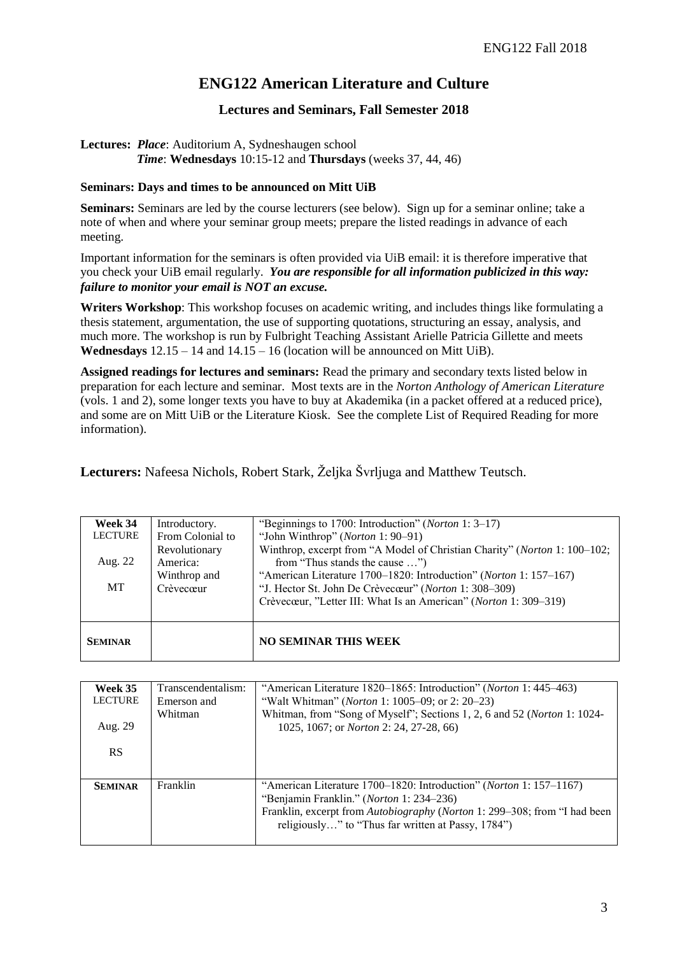# **ENG122 American Literature and Culture**

# **Lectures and Seminars, Fall Semester 2018**

## **Lectures:** *Place*: Auditorium A, Sydneshaugen school *Time*: **Wednesdays** 10:15-12 and **Thursdays** (weeks 37, 44, 46)

## **Seminars: Days and times to be announced on Mitt UiB**

**Seminars:** Seminars are led by the course lecturers (see below). Sign up for a seminar online; take a note of when and where your seminar group meets; prepare the listed readings in advance of each meeting.

Important information for the seminars is often provided via UiB email: it is therefore imperative that you check your UiB email regularly. *You are responsible for all information publicized in this way: failure to monitor your email is NOT an excuse.*

**Writers Workshop**: This workshop focuses on academic writing, and includes things like formulating a thesis statement, argumentation, the use of supporting quotations, structuring an essay, analysis, and much more. The workshop is run by Fulbright Teaching Assistant Arielle Patricia Gillette and meets **Wednesdays**  $12.15 - 14$  and  $14.15 - 16$  (location will be announced on Mitt UiB).

**Assigned readings for lectures and seminars:** Read the primary and secondary texts listed below in preparation for each lecture and seminar. Most texts are in the *Norton Anthology of American Literature* (vols. 1 and 2), some longer texts you have to buy at Akademika (in a packet offered at a reduced price), and some are on Mitt UiB or the Literature Kiosk. See the complete List of Required Reading for more information).

**Lecturers:** Nafeesa Nichols, Robert Stark, Željka Švrljuga and Matthew Teutsch.

| Week 34        | Introductory.    | "Beginnings to 1700: Introduction" ( <i>Norton</i> 1: 3–17)               |
|----------------|------------------|---------------------------------------------------------------------------|
| <b>LECTURE</b> | From Colonial to | "John Winthrop" (Norton 1: 90–91)                                         |
|                | Revolutionary    | Winthrop, excerpt from "A Model of Christian Charity" (Norton 1: 100–102; |
| Aug. 22        | America:         | from "Thus stands the cause ")                                            |
|                | Winthrop and     | "American Literature 1700–1820: Introduction" (Norton 1: 157–167)         |
| <b>MT</b>      | Crèvecœur        | "J. Hector St. John De Crèvecœur" (Norton 1: 308–309)                     |
|                |                  | Crèvecœur, "Letter III: What Is an American" (Norton 1: 309–319)          |
|                |                  |                                                                           |
| <b>SEMINAR</b> |                  | <b>NO SEMINAR THIS WEEK</b>                                               |

| Week 35<br><b>LECTURE</b> | Transcendentalism:<br>Emerson and<br>Whitman | "American Literature 1820–1865: Introduction" ( <i>Norton</i> 1: 445–463)<br>"Walt Whitman" ( <i>Norton</i> 1: 1005–09; or 2: 20–23)<br>Whitman, from "Song of Myself"; Sections 1, 2, 6 and 52 (Norton 1: 1024-                                          |
|---------------------------|----------------------------------------------|-----------------------------------------------------------------------------------------------------------------------------------------------------------------------------------------------------------------------------------------------------------|
| Aug. 29<br><b>RS</b>      |                                              | 1025, 1067; or <i>Norton</i> 2: 24, 27-28, 66)                                                                                                                                                                                                            |
| <b>SEMINAR</b>            | Franklin                                     | "American Literature 1700–1820: Introduction" ( <i>Norton</i> 1: 157–1167)<br>"Benjamin Franklin." (Norton 1: 234-236)<br>Franklin, excerpt from Autobiography (Norton 1: 299–308; from "I had been<br>religiously" to "Thus far written at Passy, 1784") |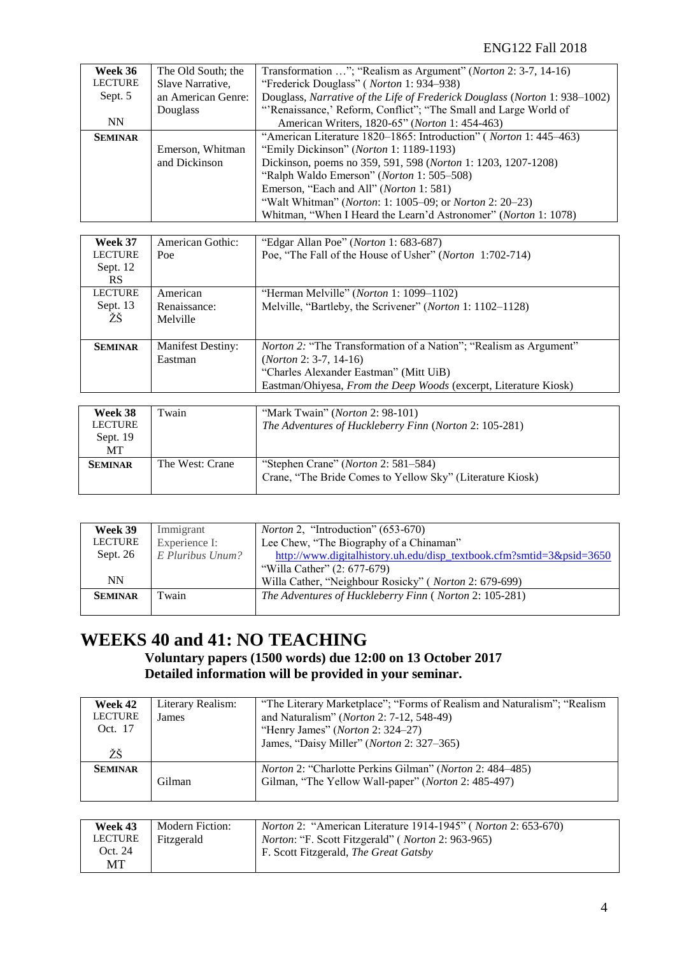| Week 36        | The Old South; the | Transformation "; "Realism as Argument" ( <i>Norton</i> 2: 3-7, 14-16)     |
|----------------|--------------------|----------------------------------------------------------------------------|
| <b>LECTURE</b> | Slave Narrative,   | "Frederick Douglass" (Norton 1: 934–938)                                   |
| Sept. 5        | an American Genre: | Douglass, Narrative of the Life of Frederick Douglass (Norton 1: 938–1002) |
|                | Douglass           | "Renaissance,' Reform, Conflict"; "The Small and Large World of            |
| <b>NN</b>      |                    | American Writers, 1820-65" (Norton 1: 454-463)                             |
| <b>SEMINAR</b> |                    | "American Literature 1820–1865: Introduction" ( <i>Norton</i> 1: 445–463)  |
|                | Emerson, Whitman   | "Emily Dickinson" (Norton 1: 1189-1193)                                    |
|                | and Dickinson      | Dickinson, poems no 359, 591, 598 (Norton 1: 1203, 1207-1208)              |
|                |                    | "Ralph Waldo Emerson" (Norton 1: 505–508)                                  |
|                |                    | Emerson, "Each and All" (Norton 1: 581)                                    |
|                |                    | "Walt Whitman" ( <i>Norton</i> : 1: 1005–09; or <i>Norton</i> 2: 20–23)    |
|                |                    | Whitman, "When I Heard the Learn'd Astronomer" (Norton 1: 1078)            |

| Week 37<br><b>LECTURE</b><br>Sept. 12<br><b>RS</b> | American Gothic:<br>Poe              | "Edgar Allan Poe" ( <i>Norton</i> 1: 683-687)<br>Poe, "The Fall of the House of Usher" (Norton 1:702-714)                                                                                                          |
|----------------------------------------------------|--------------------------------------|--------------------------------------------------------------------------------------------------------------------------------------------------------------------------------------------------------------------|
| <b>LECTURE</b><br>Sept. 13<br>ŽŠ                   | American<br>Renaissance:<br>Melville | "Herman Melville" ( <i>Norton</i> 1: 1099–1102)<br>Melville, "Bartleby, the Scrivener" (Norton 1: 1102–1128)                                                                                                       |
| <b>SEMINAR</b>                                     | <b>Manifest Destiny:</b><br>Eastman  | <i>Norton 2:</i> "The Transformation of a Nation"; "Realism as Argument"<br>$(Norton 2: 3-7, 14-16)$<br>"Charles Alexander Eastman" (Mitt UiB)<br>Eastman/Ohiyesa, From the Deep Woods (excerpt, Literature Kiosk) |

| Week 38        | Twain           | "Mark Twain" ( <i>Norton</i> 2: 98-101)                   |
|----------------|-----------------|-----------------------------------------------------------|
| <b>LECTURE</b> |                 | The Adventures of Huckleberry Finn (Norton 2: 105-281)    |
| Sept. $19$     |                 |                                                           |
| MT             |                 |                                                           |
| <b>SEMINAR</b> | The West: Crane | "Stephen Crane" ( <i>Norton</i> 2: 581–584)               |
|                |                 | Crane, "The Bride Comes to Yellow Sky" (Literature Kiosk) |
|                |                 |                                                           |

| Week 39        | Immigrant        | <i>Norton</i> 2, "Introduction" (653-670)                            |
|----------------|------------------|----------------------------------------------------------------------|
| <b>LECTURE</b> | Experience I:    | Lee Chew, "The Biography of a Chinaman"                              |
| Sept. 26       | E Pluribus Unum? | http://www.digitalhistory.uh.edu/disp_textbook.cfm?smtid=3&psid=3650 |
|                |                  | "Willa Cather" (2: 677-679)                                          |
| <b>NN</b>      |                  | Willa Cather, "Neighbour Rosicky" (Norton 2: 679-699)                |
| <b>SEMINAR</b> | Twain            | The Adventures of Huckleberry Finn (Norton 2: 105-281)               |
|                |                  |                                                                      |

# **WEEKS 40 and 41: NO TEACHING**

# **Voluntary papers (1500 words) due 12:00 on 13 October 2017 Detailed information will be provided in your seminar.**

| Week 42<br><b>LECTURE</b><br>Oct. 17<br>ŽŠ | Literary Realism:<br>James | "The Literary Marketplace"; "Forms of Realism and Naturalism"; "Realism"<br>and Naturalism" (Norton 2: 7-12, 548-49)<br>"Henry James" (Norton 2: 324–27)<br>James, "Daisy Miller" (Norton 2: 327–365) |
|--------------------------------------------|----------------------------|-------------------------------------------------------------------------------------------------------------------------------------------------------------------------------------------------------|
| <b>SEMINAR</b>                             | Gilman                     | Norton 2: "Charlotte Perkins Gilman" (Norton 2: 484–485)<br>Gilman, "The Yellow Wall-paper" (Norton 2: 485-497)                                                                                       |

| Week 43        | Modern Fiction: | <i>Norton</i> 2: "American Literature 1914-1945" ( <i>Norton</i> 2: 653-670) |
|----------------|-----------------|------------------------------------------------------------------------------|
| <b>LECTURE</b> | Fitzgerald      | <i>Norton:</i> "F. Scott Fitzgerald" ( <i>Norton</i> 2: 963-965)             |
| Oct. 24        |                 | F. Scott Fitzgerald, <i>The Great Gatsby</i>                                 |
| МT             |                 |                                                                              |